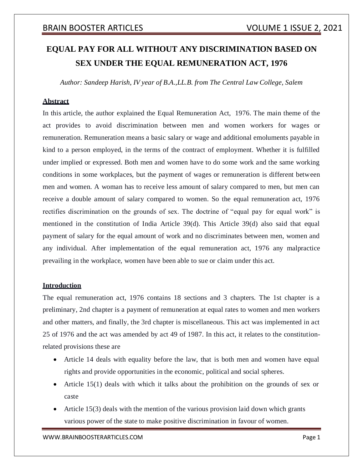# **EQUAL PAY FOR ALL WITHOUT ANY DISCRIMINATION BASED ON SEX UNDER THE EQUAL REMUNERATION ACT, 1976**

*Author: Sandeep Harish, IV year of B.A.,LL.B. from The Central Law College, Salem*

### **Abstract**

In this article, the author explained the Equal Remuneration Act, 1976. The main theme of the act provides to avoid discrimination between men and women workers for wages or remuneration. Remuneration means a basic salary or wage and additional emoluments payable in kind to a person employed, in the terms of the contract of employment. Whether it is fulfilled under implied or expressed. Both men and women have to do some work and the same working conditions in some workplaces, but the payment of wages or remuneration is different between men and women. A woman has to receive less amount of salary compared to men, but men can receive a double amount of salary compared to women. So the equal remuneration act, 1976 rectifies discrimination on the grounds of sex. The doctrine of "equal pay for equal work" is mentioned in the constitution of India Article 39(d). This Article 39(d) also said that equal payment of salary for the equal amount of work and no discriminates between men, women and any individual. After implementation of the equal remuneration act, 1976 any malpractice prevailing in the workplace, women have been able to sue or claim under this act.

### **Introduction**

The equal remuneration act, 1976 contains 18 sections and 3 chapters. The 1st chapter is a preliminary, 2nd chapter is a payment of remuneration at equal rates to women and men workers and other matters, and finally, the 3rd chapter is miscellaneous. This act was implemented in act 25 of 1976 and the act was amended by act 49 of 1987. In this act, it relates to the constitutionrelated provisions these are

- Article 14 deals with equality before the law, that is both men and women have equal rights and provide opportunities in the economic, political and social spheres.
- Article 15(1) deals with which it talks about the prohibition on the grounds of sex or caste
- Article 15(3) deals with the mention of the various provision laid down which grants various power of the state to make positive discrimination in favour of women.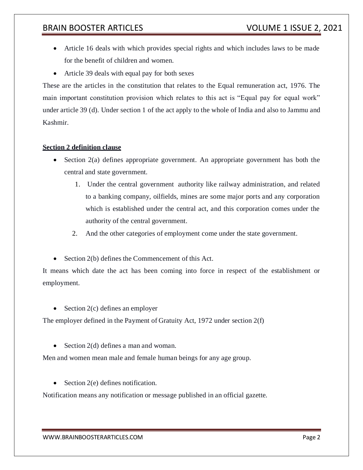- Article 16 deals with which provides special rights and which includes laws to be made for the benefit of children and women.
- Article 39 deals with equal pay for both sexes

These are the articles in the constitution that relates to the Equal remuneration act, 1976. The main important constitution provision which relates to this act is "Equal pay for equal work" under article 39 (d). Under section 1 of the act apply to the whole of India and also to Jammu and Kashmir.

### **Section 2 definition clause**

- Section  $2(a)$  defines appropriate government. An appropriate government has both the central and state government.
	- 1. Under the central government authority like railway administration, and related to a banking company, oilfields, mines are some major ports and any corporation which is established under the central act, and this corporation comes under the authority of the central government.
	- 2. And the other categories of employment come under the state government.
- $\bullet$  Section 2(b) defines the Commencement of this Act.

It means which date the act has been coming into force in respect of the establishment or employment.

• Section  $2(c)$  defines an employer

The employer defined in the Payment of Gratuity Act, 1972 under section 2(f)

Section  $2(d)$  defines a man and woman.

Men and women mean male and female human beings for any age group.

• Section  $2(e)$  defines notification.

Notification means any notification or message published in an official gazette.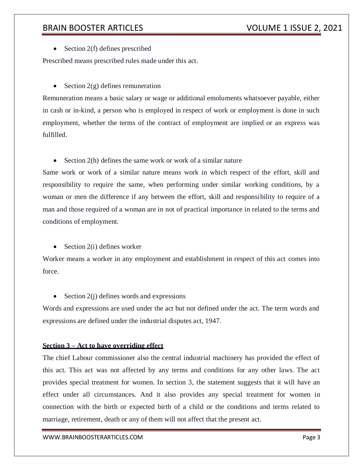• Section  $2(f)$  defines prescribed

Prescribed means prescribed rules made under this act.

• Section  $2(g)$  defines remuneration

Remuneration means a basic salary or wage or additional emoluments whatsoever payable, either in cash or in-kind, a person who is employed in respect of work or employment is done in such employment, whether the terms of the contract of employment are implied or an express was fulfilled.

 $\bullet$  Section 2(h) defines the same work or work of a similar nature

Same work or work of a similar nature means work in which respect of the effort, skill and responsibility to require the same, when performing under similar working conditions, by a woman or men the difference if any between the effort, skill and responsibility to require of a man and those required of a woman are in not of practical importance in related to the terms and conditions of employment.

 $\bullet$  Section 2(i) defines worker

Worker means a worker in any employment and establishment in respect of this act comes into force.

• Section  $2(i)$  defines words and expressions

Words and expressions are used under the act but not defined under the act. The term words and expressions are defined under the industrial disputes act, 1947.

### **Section 3 – Act to have overriding effect**

The chief Labour commissioner also the central industrial machinery has provided the effect of this act. This act was not affected by any terms and conditions for any other laws. The act provides special treatment for women. In section 3, the statement suggests that it will have an effect under all circumstances. And it also provides any special treatment for women in connection with the birth or expected birth of a child or the conditions and terms related to marriage, retirement, death or any of them will not affect that the present act.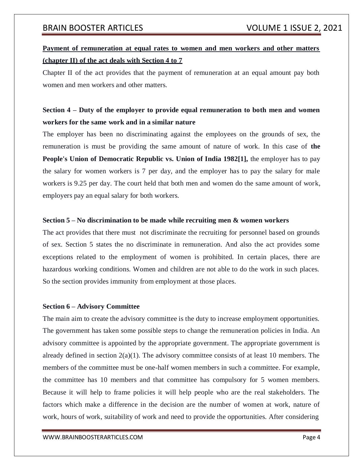## **Payment of remuneration at equal rates to women and men workers and other matters (chapter II) of the act deals with Section 4 to 7**

Chapter II of the act provides that the payment of remuneration at an equal amount pay both women and men workers and other matters.

## **Section 4 – Duty of the employer to provide equal remuneration to both men and women workers for the same work and in a similar nature**

The employer has been no discriminating against the employees on the grounds of sex, the remuneration is must be providing the same amount of nature of work. In this case of **the People's Union of Democratic Republic vs. Union of India 1982[1],** the employer has to pay the salary for women workers is 7 per day, and the employer has to pay the salary for male workers is 9.25 per day. The court held that both men and women do the same amount of work, employers pay an equal salary for both workers.

### **Section 5 – No discrimination to be made while recruiting men & women workers**

The act provides that there must not discriminate the recruiting for personnel based on grounds of sex. Section 5 states the no discriminate in remuneration. And also the act provides some exceptions related to the employment of women is prohibited. In certain places, there are hazardous working conditions. Women and children are not able to do the work in such places. So the section provides immunity from employment at those places.

### **Section 6 – Advisory Committee**

The main aim to create the advisory committee is the duty to increase employment opportunities. The government has taken some possible steps to change the remuneration policies in India. An advisory committee is appointed by the appropriate government. The appropriate government is already defined in section  $2(a)(1)$ . The advisory committee consists of at least 10 members. The members of the committee must be one-half women members in such a committee. For example, the committee has 10 members and that committee has compulsory for 5 women members. Because it will help to frame policies it will help people who are the real stakeholders. The factors which make a difference in the decision are the number of women at work, nature of work, hours of work, suitability of work and need to provide the opportunities. After considering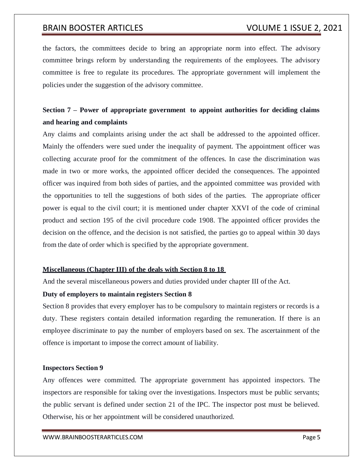the factors, the committees decide to bring an appropriate norm into effect. The advisory committee brings reform by understanding the requirements of the employees. The advisory committee is free to regulate its procedures. The appropriate government will implement the policies under the suggestion of the advisory committee.

## **Section 7 – Power of appropriate government to appoint authorities for deciding claims and hearing and complaints**

Any claims and complaints arising under the act shall be addressed to the appointed officer. Mainly the offenders were sued under the inequality of payment. The appointment officer was collecting accurate proof for the commitment of the offences. In case the discrimination was made in two or more works, the appointed officer decided the consequences. The appointed officer was inquired from both sides of parties, and the appointed committee was provided with the opportunities to tell the suggestions of both sides of the parties. The appropriate officer power is equal to the civil court; it is mentioned under chapter XXVI of the code of criminal product and section 195 of the civil procedure code 1908. The appointed officer provides the decision on the offence, and the decision is not satisfied, the parties go to appeal within 30 days from the date of order which is specified by the appropriate government.

### **Miscellaneous (Chapter III) of the deals with Section 8 to 18**

And the several miscellaneous powers and duties provided under chapter III of the Act.

### **Duty of employers to maintain registers Section 8**

Section 8 provides that every employer has to be compulsory to maintain registers or records is a duty. These registers contain detailed information regarding the remuneration. If there is an employee discriminate to pay the number of employers based on sex. The ascertainment of the offence is important to impose the correct amount of liability.

### **Inspectors Section 9**

Any offences were committed. The appropriate government has appointed inspectors. The inspectors are responsible for taking over the investigations. Inspectors must be public servants; the public servant is defined under section 21 of the IPC. The inspector post must be believed. Otherwise, his or her appointment will be considered unauthorized.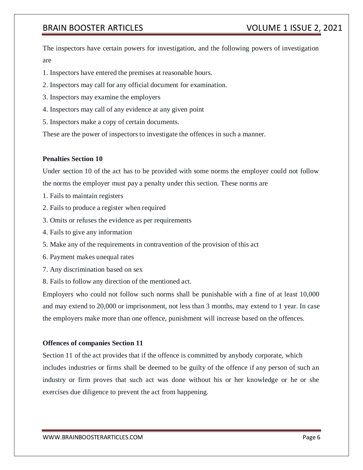The inspectors have certain powers for investigation, and the following powers of investigation are

- 1. Inspectors have entered the premises at reasonable hours.
- 2. Inspectors may call for any official document for examination.
- 3. Inspectors may examine the employers
- 4. Inspectors may call of any evidence at any given point
- 5. Inspectors make a copy of certain documents.

These are the power of inspectors to investigate the offences in such a manner.

### **Penalties Section 10**

Under section 10 of the act has to be provided with some norms the employer could not follow the norms the employer must pay a penalty under this section. These norms are

- 1. Fails to maintain registers
- 2. Fails to produce a register when required
- 3. Omits or refuses the evidence as per requirements
- 4. Fails to give any information
- 5. Make any of the requirements in contravention of the provision of this act
- 6. Payment makes unequal rates
- 7. Any discrimination based on sex
- 8. Fails to follow any direction of the mentioned act.

Employers who could not follow such norms shall be punishable with a fine of at least 10,000 and may extend to 20,000 or imprisonment, not less than 3 months, may extend to 1 year. In case the employers make more than one offence, punishment will increase based on the offences.

### **Offences of companies Section 11**

Section 11 of the act provides that if the offence is committed by anybody corporate, which includes industries or firms shall be deemed to be guilty of the offence if any person of such an industry or firm proves that such act was done without his or her knowledge or he or she exercises due diligence to prevent the act from happening.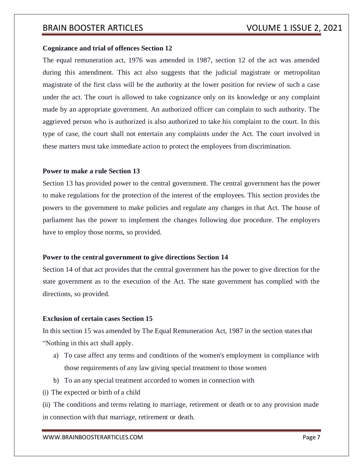### **Cognizance and trial of offences Section 12**

The equal remuneration act, 1976 was amended in 1987, section 12 of the act was amended during this amendment. This act also suggests that the judicial magistrate or metropolitan magistrate of the first class will be the authority at the lower position for review of such a case under the act. The court is allowed to take cognizance only on its knowledge or any complaint made by an appropriate government. An authorized officer can complain to such authority. The aggrieved person who is authorized is also authorized to take his complaint to the court. In this type of case, the court shall not entertain any complaints under the Act. The court involved in these matters must take immediate action to protect the employees from discrimination.

### **Power to make a rule Section 13**

Section 13 has provided power to the central government. The central government has the power to make regulations for the protection of the interest of the employees. This section provides the powers to the government to make policies and regulate any changes in that Act. The house of parliament has the power to implement the changes following due procedure. The employers have to employ those norms, so provided.

### **Power to the central government to give directions Section 14**

Section 14 of that act provides that the central government has the power to give direction for the state government as to the execution of the Act. The state government has complied with the directions, so provided.

### **Exclusion of certain cases Section 15**

In this section 15 was amended by The Equal Remuneration Act, 1987 in the section statesthat "Nothing in this act shall apply.

- a) To case affect any terms and conditions of the women's employment in compliance with those requirements of any law giving special treatment to those women
- b) To an any special treatment accorded to women in connection with
- (i) The expected or birth of a child

(ii) The conditions and terms relating to marriage, retirement or death or to any provision made in connection with that marriage, retirement or death.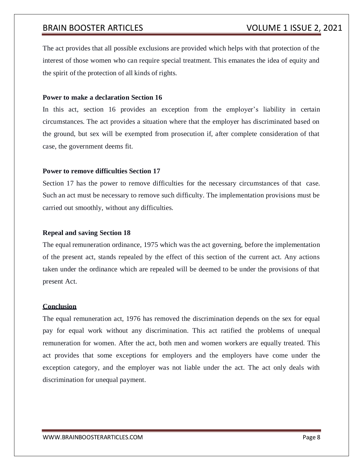The act provides that all possible exclusions are provided which helps with that protection of the interest of those women who can require special treatment. This emanates the idea of equity and the spirit of the protection of all kinds of rights.

### **Power to make a declaration Section 16**

In this act, section 16 provides an exception from the employer's liability in certain circumstances. The act provides a situation where that the employer has discriminated based on the ground, but sex will be exempted from prosecution if, after complete consideration of that case, the government deems fit.

### **Power to remove difficulties Section 17**

Section 17 has the power to remove difficulties for the necessary circumstances of that case. Such an act must be necessary to remove such difficulty. The implementation provisions must be carried out smoothly, without any difficulties.

### **Repeal and saving Section 18**

The equal remuneration ordinance, 1975 which was the act governing, before the implementation of the present act, stands repealed by the effect of this section of the current act. Any actions taken under the ordinance which are repealed will be deemed to be under the provisions of that present Act.

### **Conclusion**

The equal remuneration act, 1976 has removed the discrimination depends on the sex for equal pay for equal work without any discrimination. This act ratified the problems of unequal remuneration for women. After the act, both men and women workers are equally treated. This act provides that some exceptions for employers and the employers have come under the exception category, and the employer was not liable under the act. The act only deals with discrimination for unequal payment.